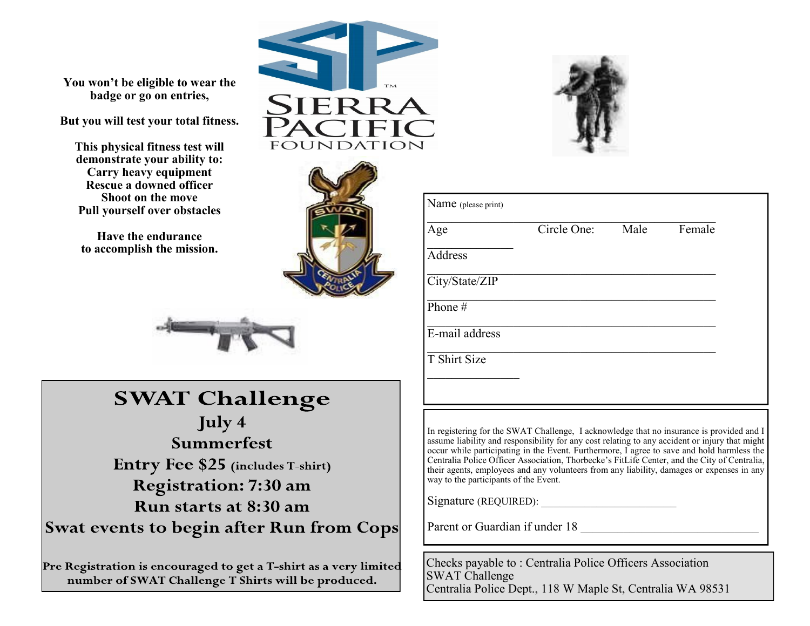

**You won't be eligible to wear the badge or go on entries,**

**But you will test your total fitness.** 

**This physical fitness test will demonstrate your ability to: Carry heavy equipment Rescue a downed officer Shoot on the move Pull yourself over obstacles**

**Have the endurance to accomplish the mission.**





# **SWAT Challenge**

July 4 Summerfest Entry Fee \$25 (includes T-shirt) **Registration: 7:30 am** Run starts at 8:30 am Swat events to begin after Run from Cops

Pre Registration is encouraged to get a T-shirt as a very limited number of SWAT Challenge T Shirts will be produced.



| Age            | Circle One: | Male | Female |
|----------------|-------------|------|--------|
| Address        |             |      |        |
| City/State/ZIP |             |      |        |
| Phone #        |             |      |        |
| E-mail address |             |      |        |
| T Shirt Size   |             |      |        |
|                |             |      |        |
|                |             |      |        |

In registering for the SWAT Challenge, I acknowledge that no insurance is provided and I assume liability and responsibility for any cost relating to any accident or injury that might occur while participating in the Event. Furthermore, I agree to save and hold harmless the Centralia Police Officer Association, Thorbecke's FitLife Center, and the City of Centralia, their agents, employees and any volunteers from any liability, damages or expenses in any way to the participants of the Event.

Signature (REQUIRED):

Parent or Guardian if under 18

Checks payable to : Centralia Police Officers Association SWAT Challenge Centralia Police Dept., 118 W Maple St, Centralia WA 98531